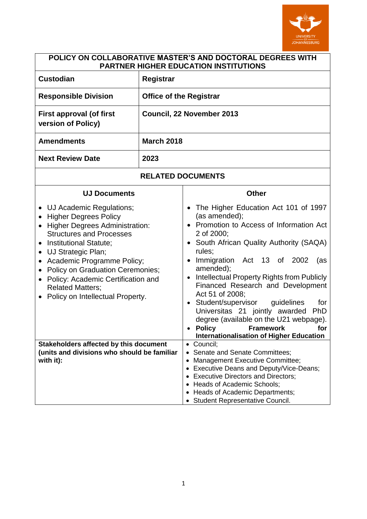

| POLICY ON COLLABORATIVE MASTER'S AND DOCTORAL DEGREES WITH<br><b>PARTNER HIGHER EDUCATION INSTITUTIONS</b>                                                                                                                                                                                                                                                                                                                                                                    |                                                                                                                                                                                                                                                                                                                                                                                                                                                                                                                                                                    |                                               |  |
|-------------------------------------------------------------------------------------------------------------------------------------------------------------------------------------------------------------------------------------------------------------------------------------------------------------------------------------------------------------------------------------------------------------------------------------------------------------------------------|--------------------------------------------------------------------------------------------------------------------------------------------------------------------------------------------------------------------------------------------------------------------------------------------------------------------------------------------------------------------------------------------------------------------------------------------------------------------------------------------------------------------------------------------------------------------|-----------------------------------------------|--|
| <b>Custodian</b>                                                                                                                                                                                                                                                                                                                                                                                                                                                              | <b>Registrar</b>                                                                                                                                                                                                                                                                                                                                                                                                                                                                                                                                                   |                                               |  |
| <b>Responsible Division</b>                                                                                                                                                                                                                                                                                                                                                                                                                                                   | <b>Office of the Registrar</b>                                                                                                                                                                                                                                                                                                                                                                                                                                                                                                                                     |                                               |  |
| <b>First approval (of first</b><br>version of Policy)                                                                                                                                                                                                                                                                                                                                                                                                                         | Council, 22 November 2013                                                                                                                                                                                                                                                                                                                                                                                                                                                                                                                                          |                                               |  |
| <b>Amendments</b>                                                                                                                                                                                                                                                                                                                                                                                                                                                             | <b>March 2018</b>                                                                                                                                                                                                                                                                                                                                                                                                                                                                                                                                                  |                                               |  |
| <b>Next Review Date</b>                                                                                                                                                                                                                                                                                                                                                                                                                                                       | 2023                                                                                                                                                                                                                                                                                                                                                                                                                                                                                                                                                               |                                               |  |
| <b>RELATED DOCUMENTS</b>                                                                                                                                                                                                                                                                                                                                                                                                                                                      |                                                                                                                                                                                                                                                                                                                                                                                                                                                                                                                                                                    |                                               |  |
| <b>UJ Documents</b>                                                                                                                                                                                                                                                                                                                                                                                                                                                           | <b>Other</b>                                                                                                                                                                                                                                                                                                                                                                                                                                                                                                                                                       |                                               |  |
| UJ Academic Regulations;<br><b>Higher Degrees Policy</b><br>$\bullet$<br><b>Higher Degrees Administration:</b><br>$\bullet$<br><b>Structures and Processes</b><br>Institutional Statute;<br>$\bullet$<br>UJ Strategic Plan;<br>$\bullet$<br>Academic Programme Policy;<br>$\bullet$<br><b>Policy on Graduation Ceremonies;</b><br>Policy: Academic Certification and<br><b>Related Matters;</b><br>Policy on Intellectual Property.<br>Stakeholders affected by this document | The Higher Education Act 101 of 1997<br>(as amended);<br>• Promotion to Access of Information Act<br>2 of 2000;<br>South African Quality Authority (SAQA)<br>rules;<br>Immigration Act 13 of 2002<br>amended);<br>Intellectual Property Rights from Publicly<br>$\bullet$<br>Financed Research and Development<br>Act 51 of 2008;<br>Student/supervisor<br>$\bullet$<br>Universitas 21 jointly awarded<br>degree (available on the U21 webpage).<br><b>Policy Provide</b><br>Framework<br><b>Internationalisation of Higher Education</b><br>Council;<br>$\bullet$ | (as<br>guidelines<br>for<br><b>PhD</b><br>for |  |
| (units and divisions who should be familiar<br>with it):                                                                                                                                                                                                                                                                                                                                                                                                                      | • Senate and Senate Committees;<br>Management Executive Committee;<br>$\bullet$<br><b>Executive Deans and Deputy/Vice-Deans;</b><br>$\bullet$<br>• Executive Directors and Directors;<br>• Heads of Academic Schools;<br>Heads of Academic Departments;<br><b>Student Representative Council.</b>                                                                                                                                                                                                                                                                  |                                               |  |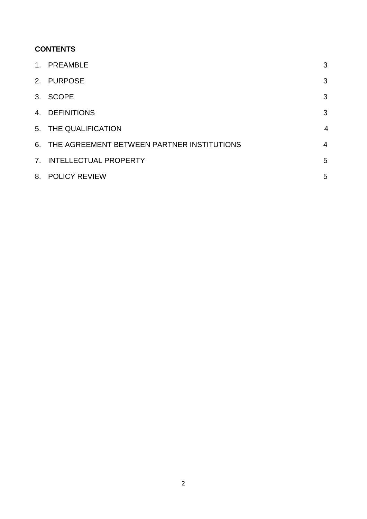# **CONTENTS**

| 1. PREAMBLE                                   | 3              |
|-----------------------------------------------|----------------|
| 2. PURPOSE                                    | 3              |
| 3. SCOPE                                      | 3              |
| 4. DEFINITIONS                                | 3              |
| 5. THE QUALIFICATION                          | $\overline{4}$ |
| 6. THE AGREEMENT BETWEEN PARTNER INSTITUTIONS | $\overline{4}$ |
| 7. INTELLECTUAL PROPERTY                      | 5              |
| 8. POLICY REVIEW                              | 5              |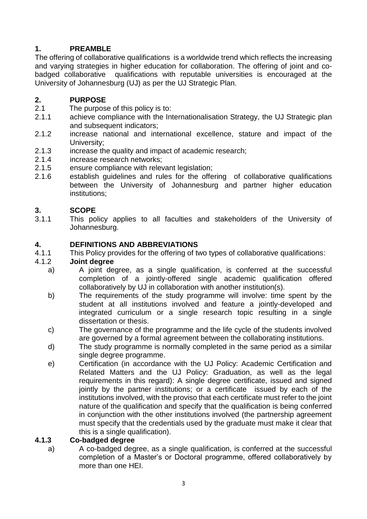## **1. PREAMBLE**

The offering of collaborative qualifications is a worldwide trend which reflects the increasing and varying strategies in higher education for collaboration. The offering of joint and cobadged collaborative qualifications with reputable universities is encouraged at the University of Johannesburg (UJ) as per the UJ Strategic Plan.

## **2. PURPOSE**

- 2.1 The purpose of this policy is to:
- 2.1.1 achieve compliance with the Internationalisation Strategy, the UJ Strategic plan and subsequent indicators:
- 2.1.2 increase national and international excellence, stature and impact of the University;
- 2.1.3 increase the quality and impact of academic research;
- 2.1.4 increase research networks;
- 2.1.5 ensure compliance with relevant legislation;
- 2.1.6 establish guidelines and rules for the offering of collaborative qualifications between the University of Johannesburg and partner higher education institutions;

#### **3. SCOPE**

3.1.1 This policy applies to all faculties and stakeholders of the University of Johannesburg.

#### **4. DEFINITIONS AND ABBREVIATIONS**

4.1.1 This Policy provides for the offering of two types of collaborative qualifications:

#### 4.1.2 **Joint degree**

- a) A joint degree, as a single qualification, is conferred at the successful completion of a jointly-offered single academic qualification offered collaboratively by UJ in collaboration with another institution(s).
- b) The requirements of the study programme will involve: time spent by the student at all institutions involved and feature a jointly-developed and integrated curriculum or a single research topic resulting in a single dissertation or thesis.
- c) The governance of the programme and the life cycle of the students involved are governed by a formal agreement between the collaborating institutions.
- d) The study programme is normally completed in the same period as a similar single degree programme.
- e) Certification (in accordance with the UJ Policy: Academic Certification and Related Matters and the UJ Policy: Graduation, as well as the legal requirements in this regard): A single degree certificate, issued and signed jointly by the partner institutions; or a certificate issued by each of the institutions involved, with the proviso that each certificate must refer to the joint nature of the qualification and specify that the qualification is being conferred in conjunction with the other institutions involved (the partnership agreement must specify that the credentials used by the graduate must make it clear that this is a single qualification).

#### **4.1.3 Co-badged degree**

a) A co-badged degree, as a single qualification, is conferred at the successful completion of a Master's or Doctoral programme, offered collaboratively by more than one HFI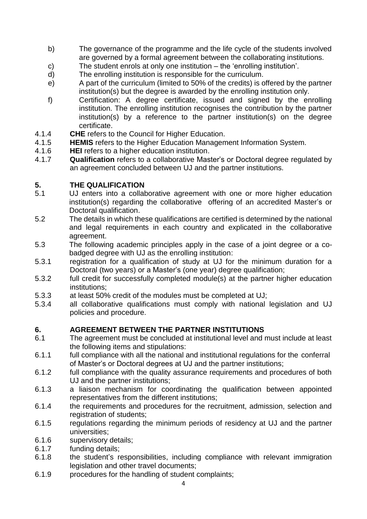- b) The governance of the programme and the life cycle of the students involved are governed by a formal agreement between the collaborating institutions.
- c) The student enrols at only one institution the 'enrolling institution'.
- d) The enrolling institution is responsible for the curriculum.
- e) A part of the curriculum (limited to 50% of the credits) is offered by the partner institution(s) but the degree is awarded by the enrolling institution only.
- f) Certification: A degree certificate, issued and signed by the enrolling institution. The enrolling institution recognises the contribution by the partner institution(s) by a reference to the partner institution(s) on the degree certificate.
- 4.1.4 **CHE** refers to the Council for Higher Education.
- 4.1.5 **HEMIS** refers to the Higher Education Management Information System.
- 4.1.6 **HEI** refers to a higher education institution.
- 4.1.7 **Qualification** refers to a collaborative Master's or Doctoral degree regulated by an agreement concluded between UJ and the partner institutions.

#### **5. THE QUALIFICATION**

- 5.1 UJ enters into a collaborative agreement with one or more higher education institution(s) regarding the collaborative offering of an accredited Master's or Doctoral qualification.
- 5.2 The details in which these qualifications are certified is determined by the national and legal requirements in each country and explicated in the collaborative agreement.
- 5.3 The following academic principles apply in the case of a joint degree or a cobadged degree with UJ as the enrolling institution:
- 5.3.1 registration for a qualification of study at UJ for the minimum duration for a Doctoral (two years) or a Master's (one year) degree qualification;
- 5.3.2 full credit for successfully completed module(s) at the partner higher education institutions;
- 5.3.3 at least 50% credit of the modules must be completed at UJ;
- 5.3.4 all collaborative qualifications must comply with national legislation and UJ policies and procedure.

## **6. AGREEMENT BETWEEN THE PARTNER INSTITUTIONS**

- 6.1 The agreement must be concluded at institutional level and must include at least the following items and stipulations:
- 6.1.1 full compliance with all the national and institutional regulations for the conferral of Master's or Doctoral degrees at UJ and the partner institutions;
- 6.1.2 full compliance with the quality assurance requirements and procedures of both UJ and the partner institutions;
- 6.1.3 a liaison mechanism for coordinating the qualification between appointed representatives from the different institutions;
- 6.1.4 the requirements and procedures for the recruitment, admission, selection and registration of students;
- 6.1.5 regulations regarding the minimum periods of residency at UJ and the partner universities;
- 6.1.6 supervisory details;
- 6.1.7 funding details;
- 6.1.8 the student's responsibilities, including compliance with relevant immigration legislation and other travel documents;
- 6.1.9 procedures for the handling of student complaints;